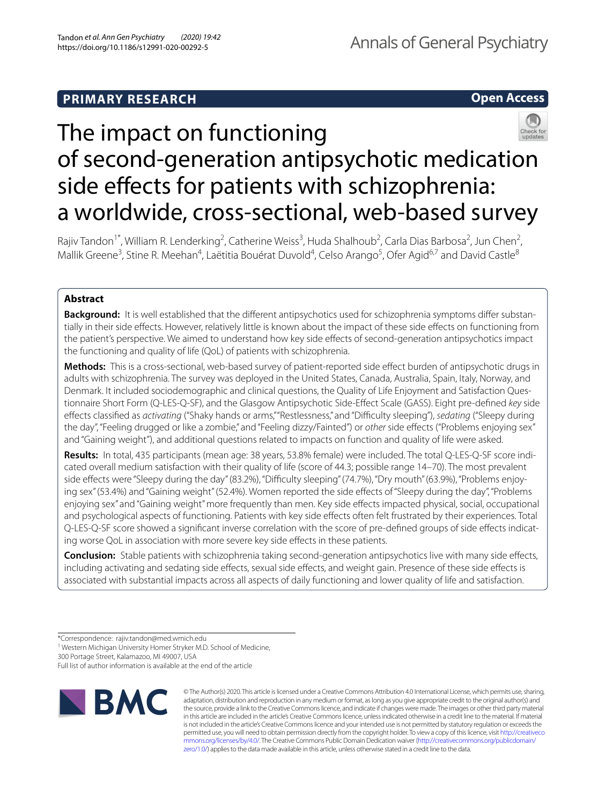# **PRIMARY RESEARCH**



# The impact on functioning of second-generation antipsychotic medication side effects for patients with schizophrenia: a worldwide, cross-sectional, web-based survey

Rajiv Tandon<sup>1\*</sup>, William R. Lenderking<sup>2</sup>, Catherine Weiss<sup>3</sup>, Huda Shalhoub<sup>2</sup>, Carla Dias Barbosa<sup>2</sup>, Jun Chen<sup>2</sup>, Mallik Greene<sup>3</sup>, Stine R. Meehan<sup>4</sup>, Laëtitia Bouérat Duvold<sup>4</sup>, Celso Arango<sup>5</sup>, Ofer Agid<sup>6,7</sup> and David Castle<sup>8</sup>

# **Abstract**

**Background:** It is well established that the diferent antipsychotics used for schizophrenia symptoms difer substantially in their side efects. However, relatively little is known about the impact of these side efects on functioning from the patient's perspective. We aimed to understand how key side efects of second-generation antipsychotics impact the functioning and quality of life (QoL) of patients with schizophrenia.

Methods: This is a cross-sectional, web-based survey of patient-reported side effect burden of antipsychotic drugs in adults with schizophrenia. The survey was deployed in the United States, Canada, Australia, Spain, Italy, Norway, and Denmark. It included sociodemographic and clinical questions, the Quality of Life Enjoyment and Satisfaction Questionnaire Short Form (Q-LES-Q-SF), and the Glasgow Antipsychotic Side-Efect Scale (GASS). Eight pre-defned *key* side efects classifed as *activating* ("Shaky hands or arms," "Restlessness," and "Difculty sleeping"), *sedating* ("Sleepy during the day", "Feeling drugged or like a zombie," and "Feeling dizzy/Fainted") or *other* side effects ("Problems enjoying sex" and "Gaining weight"), and additional questions related to impacts on function and quality of life were asked.

**Results:** In total, 435 participants (mean age: 38 years, 53.8% female) were included. The total Q-LES-Q-SF score indicated overall medium satisfaction with their quality of life (score of 44.3; possible range 14–70). The most prevalent side effects were "Sleepy during the day" (83.2%), "Difficulty sleeping" (74.7%), "Dry mouth" (63.9%), "Problems enjoying sex" (53.4%) and "Gaining weight" (52.4%). Women reported the side effects of "Sleepy during the day", "Problems enjoying sex" and "Gaining weight" more frequently than men. Key side efects impacted physical, social, occupational and psychological aspects of functioning. Patients with key side effects often felt frustrated by their experiences. Total Q-LES-Q-SF score showed a signifcant inverse correlation with the score of pre-defned groups of side efects indicating worse QoL in association with more severe key side effects in these patients.

**Conclusion:** Stable patients with schizophrenia taking second-generation antipsychotics live with many side efects, including activating and sedating side effects, sexual side effects, and weight gain. Presence of these side effects is associated with substantial impacts across all aspects of daily functioning and lower quality of life and satisfaction.

300 Portage Street, Kalamazoo, MI 49007, USA

Full list of author information is available at the end of the article



© The Author(s) 2020. This article is licensed under a Creative Commons Attribution 4.0 International License, which permits use, sharing, adaptation, distribution and reproduction in any medium or format, as long as you give appropriate credit to the original author(s) and the source, provide a link to the Creative Commons licence, and indicate if changes were made. The images or other third party material in this article are included in the article's Creative Commons licence, unless indicated otherwise in a credit line to the material. If material is not included in the article's Creative Commons licence and your intended use is not permitted by statutory regulation or exceeds the permitted use, you will need to obtain permission directly from the copyright holder. To view a copy of this licence, visit [http://creativeco](http://creativecommons.org/licenses/by/4.0/) [mmons.org/licenses/by/4.0/.](http://creativecommons.org/licenses/by/4.0/) The Creative Commons Public Domain Dedication waiver ([http://creativecommons.org/publicdomain/](http://creativecommons.org/publicdomain/zero/1.0/) [zero/1.0/\)](http://creativecommons.org/publicdomain/zero/1.0/) applies to the data made available in this article, unless otherwise stated in a credit line to the data.

<sup>\*</sup>Correspondence: rajiv.tandon@med.wmich.edu

<sup>&</sup>lt;sup>1</sup> Western Michigan University Homer Stryker M.D. School of Medicine,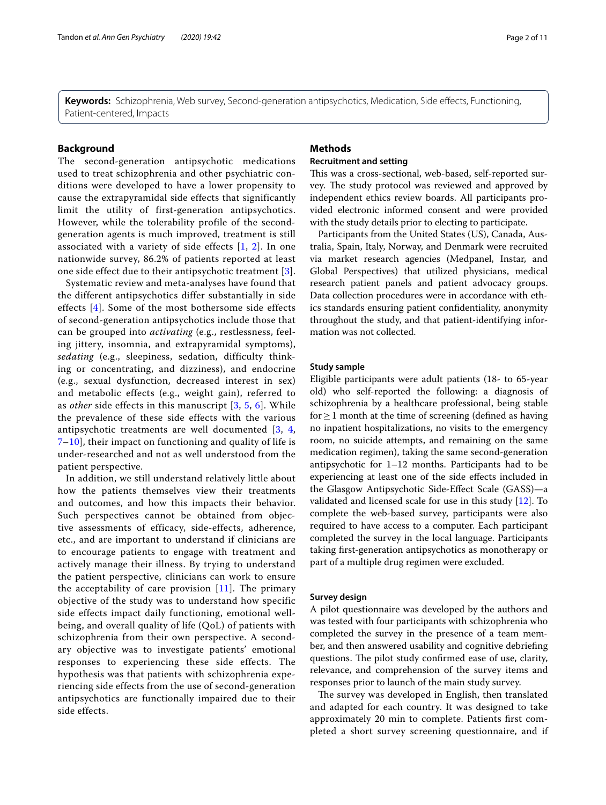**Keywords:** Schizophrenia, Web survey, Second-generation antipsychotics, Medication, Side efects, Functioning, Patient-centered, Impacts

# **Background**

The second-generation antipsychotic medications used to treat schizophrenia and other psychiatric conditions were developed to have a lower propensity to cause the extrapyramidal side effects that significantly limit the utility of first-generation antipsychotics. However, while the tolerability profile of the secondgeneration agents is much improved, treatment is still associated with a variety of side effects  $[1, 2]$  $[1, 2]$  $[1, 2]$ . In one nationwide survey, 86.2% of patients reported at least one side effect due to their antipsychotic treatment [[3\]](#page-10-2).

Systematic review and meta-analyses have found that the different antipsychotics differ substantially in side effects [[4\]](#page-10-3). Some of the most bothersome side effects of second-generation antipsychotics include those that can be grouped into *activating* (e.g., restlessness, feeling jittery, insomnia, and extrapyramidal symptoms), *sedating* (e.g., sleepiness, sedation, difficulty thinking or concentrating, and dizziness), and endocrine (e.g., sexual dysfunction, decreased interest in sex) and metabolic effects (e.g., weight gain), referred to as *other* side effects in this manuscript [[3,](#page-10-2) [5](#page-10-4), [6\]](#page-10-5). While the prevalence of these side effects with the various antipsychotic treatments are well documented [[3](#page-10-2), [4](#page-10-3), [7–](#page-10-6)[10](#page-10-7)], their impact on functioning and quality of life is under-researched and not as well understood from the patient perspective.

In addition, we still understand relatively little about how the patients themselves view their treatments and outcomes, and how this impacts their behavior. Such perspectives cannot be obtained from objective assessments of efficacy, side-effects, adherence, etc., and are important to understand if clinicians are to encourage patients to engage with treatment and actively manage their illness. By trying to understand the patient perspective, clinicians can work to ensure the acceptability of care provision [[11](#page-10-8)]. The primary objective of the study was to understand how specific side effects impact daily functioning, emotional wellbeing, and overall quality of life (QoL) of patients with schizophrenia from their own perspective. A secondary objective was to investigate patients' emotional responses to experiencing these side effects. The hypothesis was that patients with schizophrenia experiencing side effects from the use of second-generation antipsychotics are functionally impaired due to their side effects.

# **Methods**

# **Recruitment and setting**

This was a cross-sectional, web-based, self-reported survey. The study protocol was reviewed and approved by independent ethics review boards. All participants provided electronic informed consent and were provided with the study details prior to electing to participate.

Participants from the United States (US), Canada, Australia, Spain, Italy, Norway, and Denmark were recruited via market research agencies (Medpanel, Instar, and Global Perspectives) that utilized physicians, medical research patient panels and patient advocacy groups. Data collection procedures were in accordance with ethics standards ensuring patient confdentiality, anonymity throughout the study, and that patient-identifying information was not collected.

## **Study sample**

Eligible participants were adult patients (18- to 65-year old) who self-reported the following: a diagnosis of schizophrenia by a healthcare professional, being stable for  $\geq$  1 month at the time of screening (defined as having no inpatient hospitalizations, no visits to the emergency room, no suicide attempts, and remaining on the same medication regimen), taking the same second-generation antipsychotic for 1–12 months. Participants had to be experiencing at least one of the side efects included in the Glasgow Antipsychotic Side-Efect Scale (GASS)—a validated and licensed scale for use in this study [[12\]](#page-10-9). To complete the web-based survey, participants were also required to have access to a computer. Each participant completed the survey in the local language. Participants taking frst-generation antipsychotics as monotherapy or part of a multiple drug regimen were excluded.

# **Survey design**

A pilot questionnaire was developed by the authors and was tested with four participants with schizophrenia who completed the survey in the presence of a team member, and then answered usability and cognitive debriefng questions. The pilot study confirmed ease of use, clarity, relevance, and comprehension of the survey items and responses prior to launch of the main study survey.

The survey was developed in English, then translated and adapted for each country. It was designed to take approximately 20 min to complete. Patients frst completed a short survey screening questionnaire, and if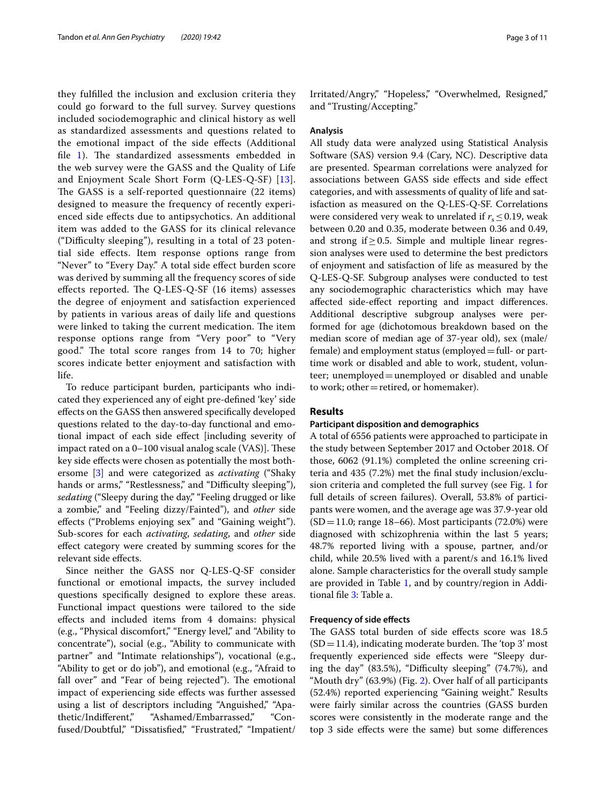they fulflled the inclusion and exclusion criteria they could go forward to the full survey. Survey questions included sociodemographic and clinical history as well as standardized assessments and questions related to the emotional impact of the side efects (Additional file  $1$ ). The standardized assessments embedded in the web survey were the GASS and the Quality of Life and Enjoyment Scale Short Form (Q-LES-Q-SF) [[13\]](#page-10-10). The GASS is a self-reported questionnaire (22 items) designed to measure the frequency of recently experienced side efects due to antipsychotics. An additional item was added to the GASS for its clinical relevance ("Difculty sleeping"), resulting in a total of 23 potential side efects. Item response options range from "Never" to "Every Day." A total side efect burden score was derived by summing all the frequency scores of side effects reported. The Q-LES-Q-SF  $(16$  items) assesses the degree of enjoyment and satisfaction experienced by patients in various areas of daily life and questions were linked to taking the current medication. The item response options range from "Very poor" to "Very good." The total score ranges from  $14$  to  $70$ ; higher scores indicate better enjoyment and satisfaction with life.

To reduce participant burden, participants who indicated they experienced any of eight pre-defned 'key' side efects on the GASS then answered specifcally developed questions related to the day-to-day functional and emotional impact of each side efect [including severity of impact rated on a  $0-100$  visual analog scale (VAS)]. These key side efects were chosen as potentially the most bothersome [\[3](#page-10-2)] and were categorized as *activating* ("Shaky hands or arms," "Restlessness," and "Difficulty sleeping"), *sedating* ("Sleepy during the day," "Feeling drugged or like a zombie," and "Feeling dizzy/Fainted"), and *other* side efects ("Problems enjoying sex" and "Gaining weight"). Sub-scores for each *activating*, *sedating*, and *other* side efect category were created by summing scores for the relevant side efects.

Since neither the GASS nor Q-LES-Q-SF consider functional or emotional impacts, the survey included questions specifcally designed to explore these areas. Functional impact questions were tailored to the side efects and included items from 4 domains: physical (e.g., "Physical discomfort," "Energy level," and "Ability to concentrate"), social (e.g., "Ability to communicate with partner" and "Intimate relationships"), vocational (e.g., "Ability to get or do job"), and emotional (e.g., "Afraid to fall over" and "Fear of being rejected"). The emotional impact of experiencing side effects was further assessed using a list of descriptors including "Anguished," "Apathetic/Indiferent," "Ashamed/Embarrassed," "Confused/Doubtful," "Dissatisfied," "Frustrated," "Impatient/ Irritated/Angry," "Hopeless," "Overwhelmed, Resigned," and "Trusting/Accepting."

# **Analysis**

All study data were analyzed using Statistical Analysis Software (SAS) version 9.4 (Cary, NC). Descriptive data are presented. Spearman correlations were analyzed for associations between GASS side efects and side efect categories, and with assessments of quality of life and satisfaction as measured on the Q-LES-Q-SF. Correlations were considered very weak to unrelated if  $r_s \leq 0.19$ , weak between 0.20 and 0.35, moderate between 0.36 and 0.49, and strong if≥0.5. Simple and multiple linear regression analyses were used to determine the best predictors of enjoyment and satisfaction of life as measured by the Q-LES-Q-SF. Subgroup analyses were conducted to test any sociodemographic characteristics which may have afected side-efect reporting and impact diferences. Additional descriptive subgroup analyses were performed for age (dichotomous breakdown based on the median score of median age of 37-year old), sex (male/ female) and employment status (employed=full- or parttime work or disabled and able to work, student, volunteer; unemployed=unemployed or disabled and unable to work; other=retired, or homemaker).

## **Results**

## **Participant disposition and demographics**

A total of 6556 patients were approached to participate in the study between September 2017 and October 2018. Of those, 6062 (91.1%) completed the online screening criteria and 435 (7.2%) met the fnal study inclusion/exclusion criteria and completed the full survey (see Fig. [1](#page-3-0) for full details of screen failures). Overall, 53.8% of participants were women, and the average age was 37.9-year old  $(SD=11.0;$  range 18–66). Most participants (72.0%) were diagnosed with schizophrenia within the last 5 years; 48.7% reported living with a spouse, partner, and/or child, while 20.5% lived with a parent/s and 16.1% lived alone. Sample characteristics for the overall study sample are provided in Table [1,](#page-4-0) and by country/region in Additional fle [3](#page-9-1): Table a.

# **Frequency of side efects**

The GASS total burden of side effects score was 18.5  $(SD=11.4)$ , indicating moderate burden. The 'top 3' most frequently experienced side efects were "Sleepy during the day"  $(83.5\%)$ , "Difficulty sleeping"  $(74.7\%)$ , and "Mouth dry" (63.9%) (Fig. [2\)](#page-5-0). Over half of all participants (52.4%) reported experiencing "Gaining weight." Results were fairly similar across the countries (GASS burden scores were consistently in the moderate range and the top 3 side efects were the same) but some diferences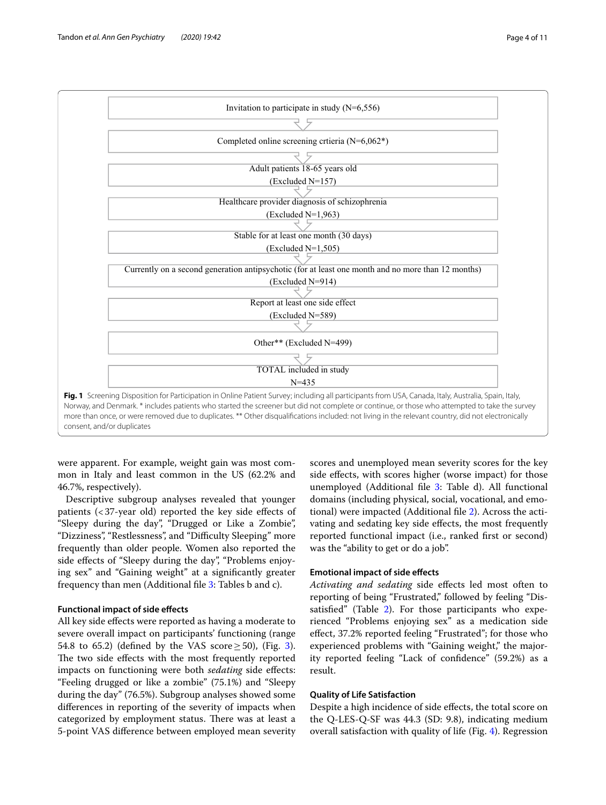

<span id="page-3-0"></span>were apparent. For example, weight gain was most common in Italy and least common in the US (62.2% and 46.7%, respectively).

Descriptive subgroup analyses revealed that younger patients (<37-year old) reported the key side efects of "Sleepy during the day", "Drugged or Like a Zombie", "Dizziness", "Restlessness", and "Difficulty Sleeping" more frequently than older people. Women also reported the side effects of "Sleepy during the day", "Problems enjoying sex" and "Gaining weight" at a signifcantly greater frequency than men (Additional fle [3:](#page-9-1) Tables b and c).

# **Functional impact of side efects**

All key side efects were reported as having a moderate to severe overall impact on participants' functioning (range 54.8 to 65.2) (defined by the VAS score  $\geq$  50), (Fig. [3](#page-5-1)). The two side effects with the most frequently reported impacts on functioning were both *sedating* side efects: "Feeling drugged or like a zombie" (75.1%) and "Sleepy during the day" (76.5%). Subgroup analyses showed some diferences in reporting of the severity of impacts when categorized by employment status. There was at least a 5-point VAS diference between employed mean severity scores and unemployed mean severity scores for the key side effects, with scores higher (worse impact) for those unemployed (Additional file  $3$ : Table d). All functional domains (including physical, social, vocational, and emotional) were impacted (Additional fle [2](#page-9-2)). Across the activating and sedating key side efects, the most frequently reported functional impact (i.e., ranked frst or second) was the "ability to get or do a job".

# **Emotional impact of side efects**

*Activating and sedating* side efects led most often to reporting of being "Frustrated," followed by feeling "Dis-satisfied" (Table [2](#page-6-0)). For those participants who experienced "Problems enjoying sex" as a medication side efect, 37.2% reported feeling "Frustrated"; for those who experienced problems with "Gaining weight," the majority reported feeling "Lack of confdence" (59.2%) as a result.

# **Quality of Life Satisfaction**

Despite a high incidence of side efects, the total score on the Q-LES-Q-SF was 44.3 (SD: 9.8), indicating medium overall satisfaction with quality of life (Fig. [4](#page-7-0)). Regression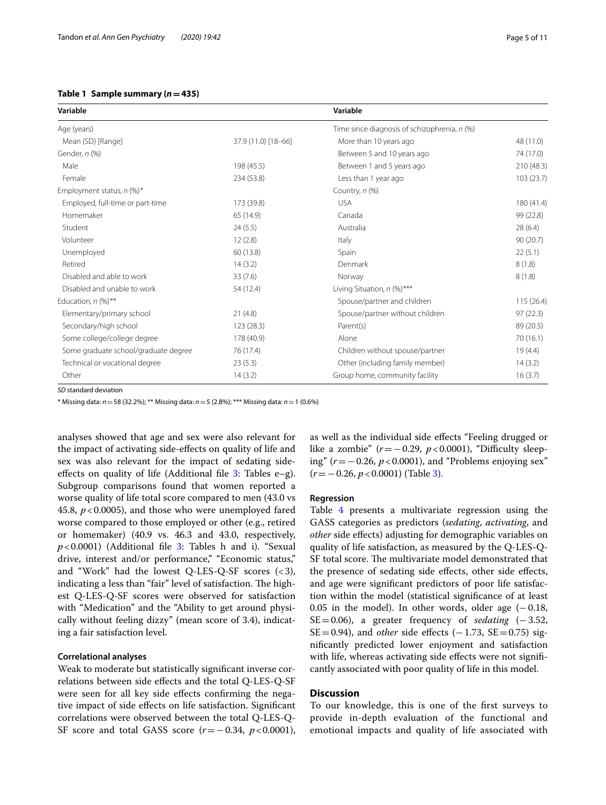# <span id="page-4-0"></span>**Table 1 Sample summary (***n***=435)**

| Variable                             |                     | Variable                                     |            |
|--------------------------------------|---------------------|----------------------------------------------|------------|
| Age (years)                          |                     | Time since diagnosis of schizophrenia, n (%) |            |
| Mean (SD) [Range]                    | 37.9 (11.0) [18-66] | More than 10 years ago                       | 48 (11.0)  |
| Gender, n (%)                        |                     | Between 5 and 10 years ago                   | 74 (17.0)  |
| Male                                 | 198 (45.5)          | Between 1 and 5 years ago                    | 210 (48.3) |
| Female                               | 234 (53.8)          | Less than 1 year ago                         | 103(23.7)  |
| Employment status, $n$ (%)*          |                     | Country, n (%)                               |            |
| Employed, full-time or part-time     | 173 (39.8)          | <b>USA</b>                                   | 180 (41.4) |
| Homemaker                            | 65 (14.9)           | Canada                                       | 99 (22.8)  |
| Student                              | 24(5.5)             | Australia                                    | 28(6.4)    |
| Volunteer                            | 12(2.8)             | Italy                                        | 90(20.7)   |
| Unemployed                           | 60 (13.8)           | Spain                                        | 22(5.1)    |
| Retired                              | 14(3.2)             | Denmark                                      | 8(1.8)     |
| Disabled and able to work            | 33(7.6)             | Norway                                       | 8(1.8)     |
| Disabled and unable to work          | 54 (12.4)           | Living Situation, n (%)***                   |            |
| Education, $n$ (%)**                 |                     | Spouse/partner and children                  | 115(26.4)  |
| Elementary/primary school            | 21(4.8)             | Spouse/partner without children              | 97(22.3)   |
| Secondary/high school                | 123(28.3)           | Parent(s)                                    | 89 (20.5)  |
| Some college/college degree          | 178 (40.9)          | Alone                                        | 70(16.1)   |
| Some graduate school/graduate degree | 76 (17.4)           | Children without spouse/partner              | 19(4.4)    |
| Technical or vocational degree       | 23(5.3)             | Other (including family member)              | 14(3.2)    |
| Other                                | 14(3.2)             | Group home, community facility               | 16(3.7)    |

*SD* standard deviation

\* Missing data: *n*=58 (32.2%); \*\* Missing data: *n*=5 (2.8%); \*\*\* Missing data: *n*=1 (0.6%)

analyses showed that age and sex were also relevant for the impact of activating side-efects on quality of life and sex was also relevant for the impact of sedating sideeffects on quality of life (Additional file  $3$ : Tables e–g). Subgroup comparisons found that women reported a worse quality of life total score compared to men (43.0 vs 45.8, *p*<0.0005), and those who were unemployed fared worse compared to those employed or other (e.g., retired or homemaker) (40.9 vs. 46.3 and 43.0, respectively, *p*<0.0001) (Additional fle [3:](#page-9-1) Tables h and i). "Sexual drive, interest and/or performance," "Economic status," and "Work" had the lowest Q-LES-Q-SF scores  $( $3$ ),$ indicating a less than "fair" level of satisfaction. The highest Q-LES-Q-SF scores were observed for satisfaction with "Medication" and the "Ability to get around physically without feeling dizzy" (mean score of 3.4), indicating a fair satisfaction level.

# **Correlational analyses**

Weak to moderate but statistically signifcant inverse correlations between side efects and the total Q-LES-Q-SF were seen for all key side efects confrming the negative impact of side efects on life satisfaction. Signifcant correlations were observed between the total Q-LES-Q-SF score and total GASS score (*r*=−0.34, *p*<0.0001), as well as the individual side efects "Feeling drugged or like a zombie" ( $r = -0.29$ ,  $p < 0.0001$ ), "Difficulty sleeping" (*r*=−0.26, *p*<0.0001), and "Problems enjoying sex" (*r*=−0.26, *p*<0.0001) (Table [3](#page-7-1)).

#### **Regression**

Table [4](#page-8-0) presents a multivariate regression using the GASS categories as predictors (*sedating*, *activating*, and *other* side efects) adjusting for demographic variables on quality of life satisfaction, as measured by the Q-LES-Q-SF total score. The multivariate model demonstrated that the presence of sedating side effects, other side effects, and age were signifcant predictors of poor life satisfaction within the model (statistical signifcance of at least 0.05 in the model). In other words, older age  $(-0.18,$ SE=0.06), a greater frequency of *sedating* (−3.52,  $SE = 0.94$ ), and *other* side effects ( $-1.73$ ,  $SE = 0.75$ ) signifcantly predicted lower enjoyment and satisfaction with life, whereas activating side effects were not significantly associated with poor quality of life in this model.

# **Discussion**

To our knowledge, this is one of the frst surveys to provide in-depth evaluation of the functional and emotional impacts and quality of life associated with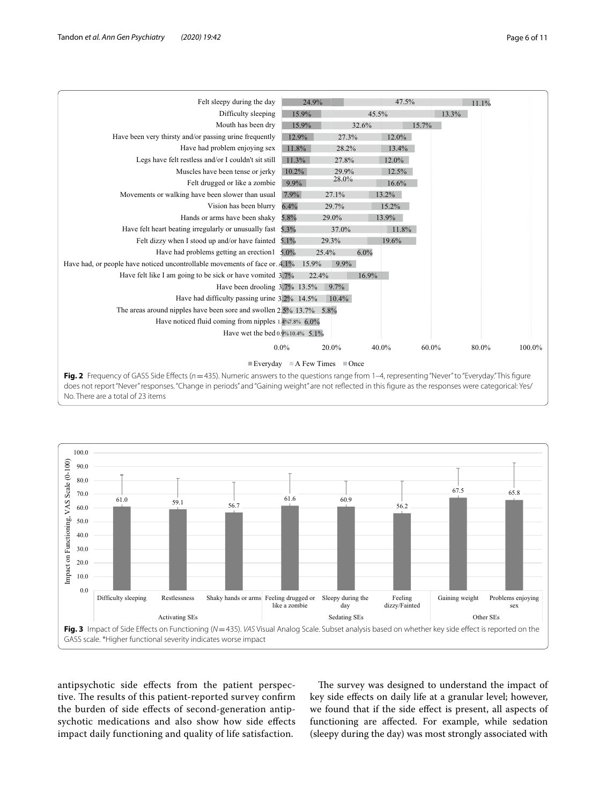| Felt sleepy during the day                                                                                                                        | 24.9%    |         | 47.5%    |       | 11.1% |        |
|---------------------------------------------------------------------------------------------------------------------------------------------------|----------|---------|----------|-------|-------|--------|
| Difficulty sleeping                                                                                                                               | 15.9%    |         | 45.5%    | 13.3% |       |        |
| Mouth has been dry                                                                                                                                | 15.9%    |         | 32.6%    | 15.7% |       |        |
| Have been very thirsty and/or passing urine frequently                                                                                            | 12.9%    | 27.3%   | $12.0\%$ |       |       |        |
| Have had problem enjoying sex                                                                                                                     | 11.8%    | 28.2%   | 13.4%    |       |       |        |
| Legs have felt restless and/or I couldn't sit still                                                                                               | 11.3%    | 27.8%   | 12.0%    |       |       |        |
| Muscles have been tense or jerky                                                                                                                  | $10.2\%$ | 29.9%   | 12.5%    |       |       |        |
| Felt drugged or like a zombie                                                                                                                     | 9.9%     | 28.0%   | 16.6%    |       |       |        |
| Movements or walking have been slower than usual                                                                                                  | 7.9%     | 27.1%   | 13.2%    |       |       |        |
| Vision has been blurry                                                                                                                            | 6.4%     | 29.7%   | 15.2%    |       |       |        |
| Hands or arms have been shaky                                                                                                                     | 5.8%     | 29.0%   | 13.9%    |       |       |        |
| Have felt heart beating irregularly or unusually fast                                                                                             | 5.3%     | 37.0%   | 11.8%    |       |       |        |
| Felt dizzy when I stood up and/or have fainted $5.1\%$                                                                                            |          | 29.3%   | 19.6%    |       |       |        |
| Have had problems getting an erection $1\quad 5.0\%$                                                                                              |          | 25.4%   | 6.0%     |       |       |        |
| Have had, or people have noticed uncontrollable movements of face or $.4.1\%$                                                                     | 15.9%    | $9.9\%$ |          |       |       |        |
| Have felt like I am going to be sick or have vomited 3.7%                                                                                         |          | 22.4%   | 16.9%    |       |       |        |
| Have been drooling 3.7% 13.5%                                                                                                                     |          | $9.7\%$ |          |       |       |        |
| Have had difficulty passing urine 3.2% 14.5%                                                                                                      |          | 10.4%   |          |       |       |        |
| The areas around nipples have been sore and swollen $2.5\%$ 13.7% 5.8%                                                                            |          |         |          |       |       |        |
| Have noticed fluid coming from nipples 1.4%7.8% 6.0%                                                                                              |          |         |          |       |       |        |
| Have wet the bed 0.9%10.4% 5.1%                                                                                                                   |          |         |          |       |       |        |
|                                                                                                                                                   | $0.0\%$  | 20.0%   | 40.0%    | 60.0% | 80.0% | 100.0% |
| Everyday A Few Times Once                                                                                                                         |          |         |          |       |       |        |
| Fig. 2 Frequency of GASS Side Effects (n = 435). Numeric answers to the questions range from 1-4, representing "Never" to "Everyday." This figure |          |         |          |       |       |        |

<span id="page-5-0"></span>**Fig. 2** Frequency of GASS Side Effects (*n* = 435). Numeric answers to the questions range from 1–4, representing "Never" to "Everyday."This figure<br>does not report "Never" responses. "Change in periods" and "Gaining weigh No. There are a total of 23 items



<span id="page-5-1"></span>antipsychotic side efects from the patient perspective. The results of this patient-reported survey confirm the burden of side efects of second-generation antipsychotic medications and also show how side efects impact daily functioning and quality of life satisfaction.

The survey was designed to understand the impact of key side efects on daily life at a granular level; however, we found that if the side efect is present, all aspects of functioning are afected. For example, while sedation (sleepy during the day) was most strongly associated with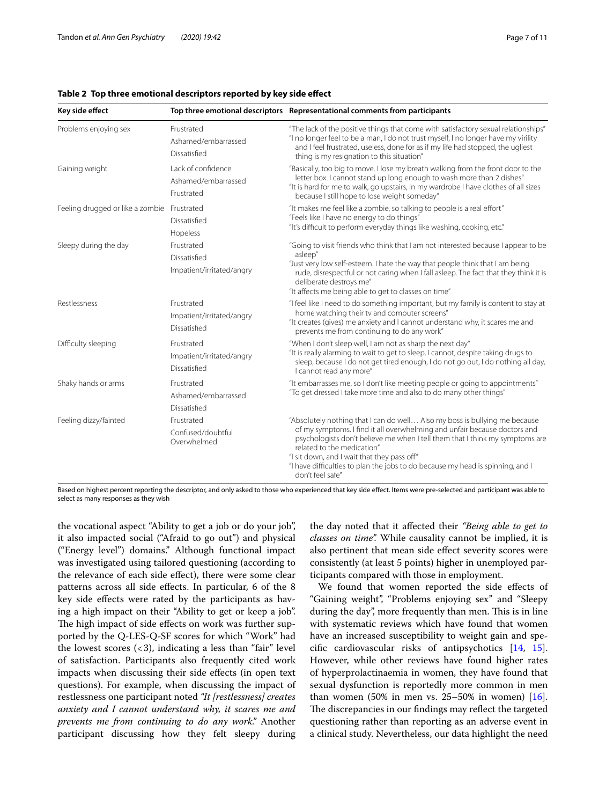| Key side effect                             |                                                         | Top three emotional descriptors Representational comments from participants                                                                                                                                                                                                                                                                                                                                                |
|---------------------------------------------|---------------------------------------------------------|----------------------------------------------------------------------------------------------------------------------------------------------------------------------------------------------------------------------------------------------------------------------------------------------------------------------------------------------------------------------------------------------------------------------------|
| Problems enjoying sex                       | Frustrated<br>Ashamed/embarrassed<br>Dissatisfied       | "The lack of the positive things that come with satisfactory sexual relationships"<br>"I no longer feel to be a man, I do not trust myself, I no longer have my virility<br>and I feel frustrated, useless, done for as if my life had stopped, the ugliest<br>thing is my resignation to this situation"                                                                                                                  |
| Gaining weight                              | Lack of confidence<br>Ashamed/embarrassed<br>Frustrated | "Basically, too big to move. I lose my breath walking from the front door to the<br>letter box. I cannot stand up long enough to wash more than 2 dishes"<br>"It is hard for me to walk, go upstairs, in my wardrobe I have clothes of all sizes<br>because I still hope to lose weight someday"                                                                                                                           |
| Feeling drugged or like a zombie Frustrated | Dissatisfied<br>Hopeless                                | "It makes me feel like a zombie, so talking to people is a real effort"<br>"Feels like I have no energy to do things"<br>"It's difficult to perform everyday things like washing, cooking, etc."                                                                                                                                                                                                                           |
| Sleepy during the day                       | Frustrated<br>Dissatisfied<br>Impatient/irritated/angry | "Going to visit friends who think that I am not interested because I appear to be<br>asleep"<br>"Just very low self-esteem. I hate the way that people think that I am being<br>rude, disrespectful or not caring when I fall asleep. The fact that they think it is<br>deliberate destroys me"<br>"It affects me being able to get to classes on time"                                                                    |
| Restlessness                                | Frustrated<br>Impatient/irritated/angry<br>Dissatisfied | "I feel like I need to do something important, but my family is content to stay at<br>home watching their tv and computer screens"<br>"It creates (gives) me anxiety and I cannot understand why, it scares me and<br>prevents me from continuing to do any work"                                                                                                                                                          |
| Difficulty sleeping                         | Frustrated<br>Impatient/irritated/angry<br>Dissatisfied | "When I don't sleep well, I am not as sharp the next day"<br>"It is really alarming to wait to get to sleep, I cannot, despite taking drugs to<br>sleep, because I do not get tired enough, I do not go out, I do nothing all day,<br>I cannot read any more"                                                                                                                                                              |
| Shaky hands or arms                         | Frustrated<br>Ashamed/embarrassed<br>Dissatisfied       | "It embarrasses me, so I don't like meeting people or going to appointments"<br>"To get dressed I take more time and also to do many other things"                                                                                                                                                                                                                                                                         |
| Feeling dizzy/fainted                       | Frustrated<br>Confused/doubtful<br>Overwhelmed          | "Absolutely nothing that I can do well Also my boss is bullying me because<br>of my symptoms. I find it all overwhelming and unfair because doctors and<br>psychologists don't believe me when I tell them that I think my symptoms are<br>related to the medication"<br>"I sit down, and I wait that they pass off"<br>"I have difficulties to plan the jobs to do because my head is spinning, and I<br>don't feel safe" |

#### <span id="page-6-0"></span>**Table 2 Top three emotional descriptors reported by key side efect**

Based on highest percent reporting the descriptor, and only asked to those who experienced that key side efect. Items were pre-selected and participant was able to select as many responses as they wish

the vocational aspect "Ability to get a job or do your job", it also impacted social ("Afraid to go out") and physical ("Energy level") domains." Although functional impact was investigated using tailored questioning (according to the relevance of each side efect), there were some clear patterns across all side efects. In particular, 6 of the 8 key side efects were rated by the participants as having a high impact on their "Ability to get or keep a job". The high impact of side effects on work was further supported by the Q-LES-Q-SF scores for which "Work" had the lowest scores  $\left( < 3 \right)$ , indicating a less than "fair" level of satisfaction. Participants also frequently cited work impacts when discussing their side efects (in open text questions). For example, when discussing the impact of restlessness one participant noted *"It [restlessness] creates anxiety and I cannot understand why, it scares me and prevents me from continuing to do any work."* Another participant discussing how they felt sleepy during the day noted that it afected their *"Being able to get to classes on time".* While causality cannot be implied, it is also pertinent that mean side efect severity scores were consistently (at least 5 points) higher in unemployed participants compared with those in employment.

We found that women reported the side efects of "Gaining weight", "Problems enjoying sex" and "Sleepy during the day", more frequently than men. This is in line with systematic reviews which have found that women have an increased susceptibility to weight gain and specifc cardiovascular risks of antipsychotics [\[14](#page-10-11), [15](#page-10-12)]. However, while other reviews have found higher rates of hyperprolactinaemia in women, they have found that sexual dysfunction is reportedly more common in men than women  $(50\% \text{ in men vs. } 25-50\% \text{ in women})$  [\[16](#page-10-13)]. The discrepancies in our findings may reflect the targeted questioning rather than reporting as an adverse event in a clinical study. Nevertheless, our data highlight the need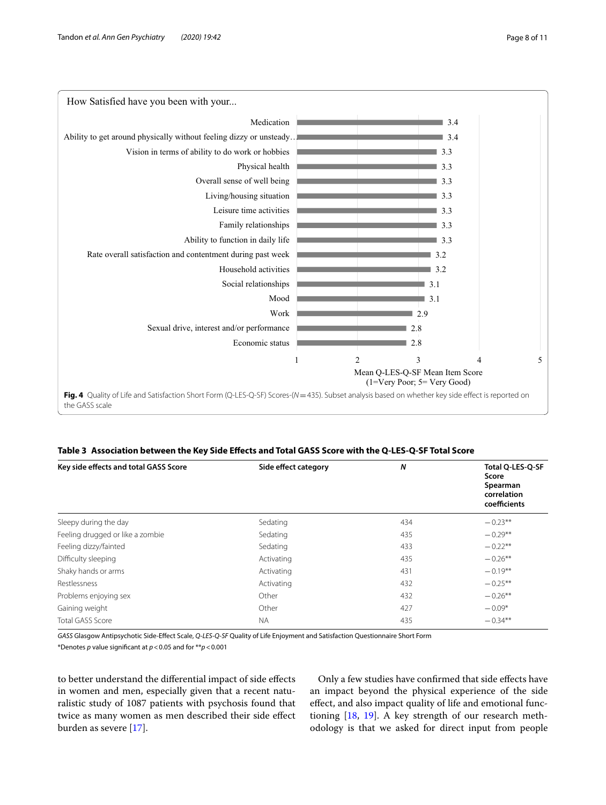

# <span id="page-7-1"></span><span id="page-7-0"></span>**Table 3 Association between the Key Side Efects and Total GASS Score with the Q-LES-Q-SF Total Score**

| Key side effects and total GASS Score | Side effect category | N   | Total Q-LES-Q-SF<br>Score<br>Spearman<br>correlation<br>coefficients |
|---------------------------------------|----------------------|-----|----------------------------------------------------------------------|
| Sleepy during the day                 | Sedating             | 434 | $-0.23**$                                                            |
| Feeling drugged or like a zombie      | Sedating             | 435 | $-0.29**$                                                            |
| Feeling dizzy/fainted                 | Sedating             | 433 | $-0.22**$                                                            |
| Difficulty sleeping                   | Activating           | 435 | $-0.26**$                                                            |
| Shaky hands or arms                   | Activating           | 431 | $-0.19**$                                                            |
| Restlessness                          | Activating           | 432 | $-0.25**$                                                            |
| Problems enjoying sex                 | Other                | 432 | $-0.26**$                                                            |
| Gaining weight                        | Other                | 427 | $-0.09*$                                                             |
| Total GASS Score                      | <b>NA</b>            | 435 | $-0.34**$                                                            |

*GASS* Glasgow Antipsychotic Side-Efect Scale, *Q-LES-Q-SF* Quality of Life Enjoyment and Satisfaction Questionnaire Short Form \*Denotes *p* value signifcant at *p*<0.05 and for \*\**p*<0.001

to better understand the diferential impact of side efects in women and men, especially given that a recent naturalistic study of 1087 patients with psychosis found that twice as many women as men described their side efect burden as severe [\[17](#page-10-14)].

Only a few studies have confrmed that side efects have an impact beyond the physical experience of the side efect, and also impact quality of life and emotional functioning [\[18](#page-10-15), [19](#page-10-16)]. A key strength of our research methodology is that we asked for direct input from people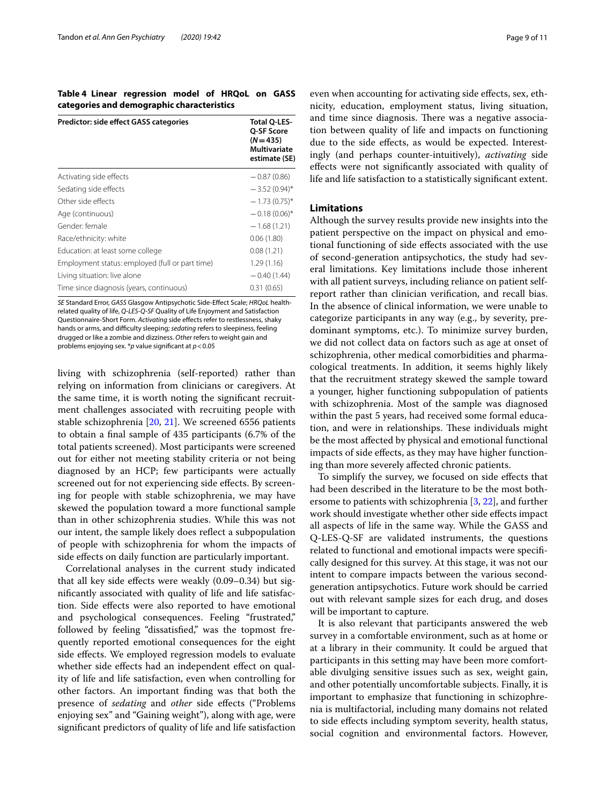<span id="page-8-0"></span>**Table 4 Linear regression model of HRQoL on GASS categories and demographic characteristics**

| Predictor: side effect GASS categories          | <b>Total O-LES-</b><br>Q-SF Score<br>$(N = 435)$<br><b>Multivariate</b><br>estimate (SE) |
|-------------------------------------------------|------------------------------------------------------------------------------------------|
| Activating side effects                         | $-0.87(0.86)$                                                                            |
| Sedating side effects                           | $-3.52(0.94)$ *                                                                          |
| Other side effects                              | $-1.73(0.75)^{*}$                                                                        |
| Age (continuous)                                | $-0.18(0.06)$ *                                                                          |
| Gender female                                   | $-1.68(1.21)$                                                                            |
| Race/ethnicity: white                           | 0.06(1.80)                                                                               |
| Education: at least some college                | 0.08(1.21)                                                                               |
| Employment status: employed (full or part time) | 1.29(1.16)                                                                               |
| Living situation: live alone                    | $-0.40(1.44)$                                                                            |
| Time since diagnosis (years, continuous)        | 0.31(0.65)                                                                               |

*SE* Standard Error, *GASS* Glasgow Antipsychotic Side-Efect Scale; *HRQoL* healthrelated quality of life, *Q-LES-Q-SF* Quality of Life Enjoyment and Satisfaction Questionnaire-Short Form. *Activating* side effects refer to restlessness, shaky hands or arms, and difficulty sleeping; *sedating* refers to sleepiness, feeling drugged or like a zombie and dizziness. *Other* refers to weight gain and problems enjoying sex. \**p* value signifcant at *p*<0.05

living with schizophrenia (self-reported) rather than relying on information from clinicians or caregivers. At the same time, it is worth noting the signifcant recruitment challenges associated with recruiting people with stable schizophrenia [[20](#page-10-17), [21](#page-10-18)]. We screened 6556 patients to obtain a fnal sample of 435 participants (6.7% of the total patients screened). Most participants were screened out for either not meeting stability criteria or not being diagnosed by an HCP; few participants were actually screened out for not experiencing side effects. By screening for people with stable schizophrenia, we may have skewed the population toward a more functional sample than in other schizophrenia studies. While this was not our intent, the sample likely does refect a subpopulation of people with schizophrenia for whom the impacts of side efects on daily function are particularly important.

Correlational analyses in the current study indicated that all key side efects were weakly (0.09–0.34) but signifcantly associated with quality of life and life satisfaction. Side efects were also reported to have emotional and psychological consequences. Feeling "frustrated," followed by feeling "dissatisfed," was the topmost frequently reported emotional consequences for the eight side effects. We employed regression models to evaluate whether side effects had an independent effect on quality of life and life satisfaction, even when controlling for other factors. An important fnding was that both the presence of *sedating* and *other* side efects ("Problems enjoying sex" and "Gaining weight"), along with age, were signifcant predictors of quality of life and life satisfaction

even when accounting for activating side efects, sex, ethnicity, education, employment status, living situation, and time since diagnosis. There was a negative association between quality of life and impacts on functioning due to the side efects, as would be expected. Interestingly (and perhaps counter-intuitively), *activating* side efects were not signifcantly associated with quality of life and life satisfaction to a statistically signifcant extent.

# **Limitations**

Although the survey results provide new insights into the patient perspective on the impact on physical and emotional functioning of side efects associated with the use of second-generation antipsychotics, the study had several limitations. Key limitations include those inherent with all patient surveys, including reliance on patient selfreport rather than clinician verifcation, and recall bias. In the absence of clinical information, we were unable to categorize participants in any way (e.g., by severity, predominant symptoms, etc.). To minimize survey burden, we did not collect data on factors such as age at onset of schizophrenia, other medical comorbidities and pharmacological treatments. In addition, it seems highly likely that the recruitment strategy skewed the sample toward a younger, higher functioning subpopulation of patients with schizophrenia. Most of the sample was diagnosed within the past 5 years, had received some formal education, and were in relationships. These individuals might be the most afected by physical and emotional functional impacts of side efects, as they may have higher functioning than more severely afected chronic patients.

To simplify the survey, we focused on side efects that had been described in the literature to be the most bothersome to patients with schizophrenia [\[3](#page-10-2), [22](#page-10-19)], and further work should investigate whether other side efects impact all aspects of life in the same way. While the GASS and Q-LES-Q-SF are validated instruments, the questions related to functional and emotional impacts were specifcally designed for this survey. At this stage, it was not our intent to compare impacts between the various secondgeneration antipsychotics. Future work should be carried out with relevant sample sizes for each drug, and doses will be important to capture.

It is also relevant that participants answered the web survey in a comfortable environment, such as at home or at a library in their community. It could be argued that participants in this setting may have been more comfortable divulging sensitive issues such as sex, weight gain, and other potentially uncomfortable subjects. Finally, it is important to emphasize that functioning in schizophrenia is multifactorial, including many domains not related to side efects including symptom severity, health status, social cognition and environmental factors. However,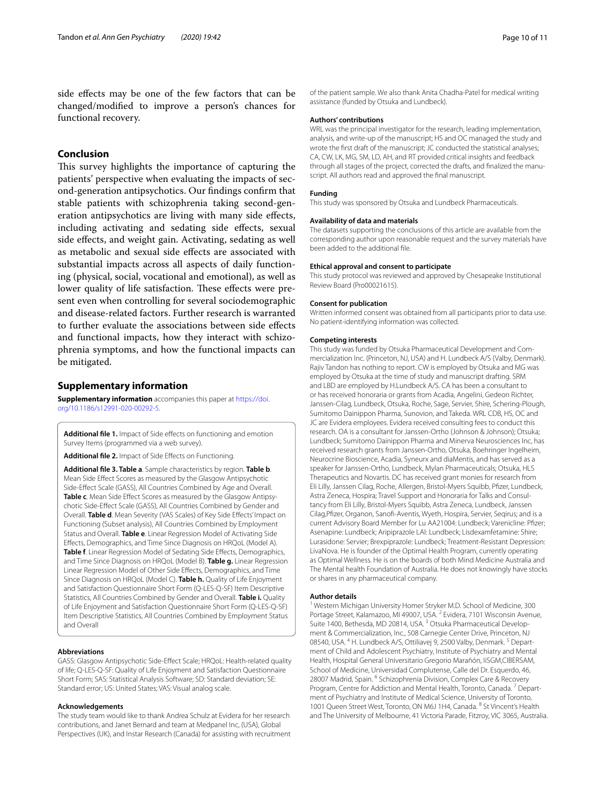side efects may be one of the few factors that can be changed/modifed to improve a person's chances for functional recovery.

# **Conclusion**

This survey highlights the importance of capturing the patients' perspective when evaluating the impacts of second-generation antipsychotics. Our fndings confrm that stable patients with schizophrenia taking second-generation antipsychotics are living with many side efects, including activating and sedating side efects, sexual side effects, and weight gain. Activating, sedating as well as metabolic and sexual side efects are associated with substantial impacts across all aspects of daily functioning (physical, social, vocational and emotional), as well as lower quality of life satisfaction. These effects were present even when controlling for several sociodemographic and disease-related factors. Further research is warranted to further evaluate the associations between side efects and functional impacts, how they interact with schizophrenia symptoms, and how the functional impacts can be mitigated.

# **Supplementary information**

**Supplementary information** accompanies this paper at [https://doi.](https://doi.org/10.1186/s12991-020-00292-5) [org/10.1186/s12991-020-00292-5](https://doi.org/10.1186/s12991-020-00292-5).

<span id="page-9-2"></span><span id="page-9-0"></span>Additional file 1. Impact of Side effects on functioning and emotion Survey Items (programmed via a web survey).

<span id="page-9-1"></span>**Additional fle 2.** Impact of Side Efects on Functioning.

**Additional fle 3. Table a**. Sample characteristics by region. **Table b**. Mean Side Efect Scores as measured by the Glasgow Antipsychotic Side-Efect Scale (GASS), All Countries Combined by Age and Overall. **Table c**. Mean Side Efect Scores as measured by the Glasgow Antipsychotic Side-Efect Scale (GASS), All Countries Combined by Gender and Overall. **Table d**. Mean Severity (VAS Scales) of Key Side Efects' Impact on Functioning (Subset analysis), All Countries Combined by Employment Status and Overall. **Table e**. Linear Regression Model of Activating Side Efects, Demographics, and Time Since Diagnosis on HRQoL (Model A). **Table f**. Linear Regression Model of Sedating Side Efects, Demographics, and Time Since Diagnosis on HRQoL (Model B). **Table g.** Linear Regression Linear Regression Model of Other Side Efects, Demographics, and Time Since Diagnosis on HRQoL (Model C). **Table h.** Quality of Life Enjoyment and Satisfaction Questionnaire Short Form (Q-LES-Q-SF) Item Descriptive Statistics, All Countries Combined by Gender and Overall. **Table i.** Quality of Life Enjoyment and Satisfaction Questionnaire Short Form (Q-LES-Q-SF) Item Descriptive Statistics, All Countries Combined by Employment Status and Overall

#### **Abbreviations**

GASS: Glasgow Antipsychotic Side-Efect Scale; HRQoL: Health-related quality of life; Q-LES-Q-SF: Quality of Life Enjoyment and Satisfaction Questionnaire Short Form; SAS: Statistical Analysis Software; SD: Standard deviation; SE: Standard error; US: United States; VAS: Visual analog scale.

#### **Acknowledgements**

The study team would like to thank Andrea Schulz at Evidera for her research contributions, and Janet Bernard and team at Medpanel Inc, (USA), Global Perspectives (UK), and Instar Research (Canada) for assisting with recruitment of the patient sample. We also thank Anita Chadha-Patel for medical writing assistance (funded by Otsuka and Lundbeck).

#### **Authors' contributions**

WRL was the principal investigator for the research, leading implementation, analysis, and write-up of the manuscript; HS and OC managed the study and wrote the frst draft of the manuscript; JC conducted the statistical analyses; CA, CW, LK, MG, SM, LD, AH, and RT provided critical insights and feedback through all stages of the project, corrected the drafts, and fnalized the manuscript. All authors read and approved the fnal manuscript.

#### **Funding**

This study was sponsored by Otsuka and Lundbeck Pharmaceuticals.

#### **Availability of data and materials**

The datasets supporting the conclusions of this article are available from the corresponding author upon reasonable request and the survey materials have been added to the additional fle.

#### **Ethical approval and consent to participate**

This study protocol was reviewed and approved by Chesapeake Institutional Review Board (Pro00021615).

#### **Consent for publication**

Written informed consent was obtained from all participants prior to data use. No patient-identifying information was collected.

#### **Competing interests**

This study was funded by Otsuka Pharmaceutical Development and Commercialization Inc. (Princeton, NJ, USA) and H. Lundbeck A/S (Valby, Denmark). Rajiv Tandon has nothing to report. CW is employed by Otsuka and MG was employed by Otsuka at the time of study and manuscript drafting. SRM and LBD are employed by H.Lundbeck A/S. CA has been a consultant to or has received honoraria or grants from Acadia, Angelini, Gedeon Richter, Janssen-Cilag, Lundbeck, Otsuka, Roche, Sage, Servier, Shire, Schering-Plough, Sumitomo Dainippon Pharma, Sunovion, and Takeda. WRL CDB, HS, OC and JC are Evidera employees. Evidera received consulting fees to conduct this research. OA is a consultant for Janssen-Ortho (Johnson & Johnson); Otsuka; Lundbeck; Sumitomo Dainippon Pharma and Minerva Neurosciences Inc, has received research grants from Janssen-Ortho, Otsuka, Boehringer Ingelheim, Neurocrine Bioscience, Acadia, Syneurx and diaMentis, and has served as a speaker for Janssen-Ortho, Lundbeck, Mylan Pharmaceuticals; Otsuka, HLS Therapeutics and Novartis. DC has received grant monies for research from Eli Lilly, Janssen Cilag, Roche, Allergen, Bristol-Myers Squibb, Pfzer, Lundbeck, Astra Zeneca, Hospira; Travel Support and Honoraria for Talks and Consultancy from Eli Lilly, Bristol-Myers Squibb, Astra Zeneca, Lundbeck, Janssen Cilag,Pfzer, Organon, Sanof-Aventis, Wyeth, Hospira, Servier, Seqirus; and is a current Advisory Board Member for Lu AA21004: Lundbeck; Varenicline: Pfzer; Asenapine: Lundbeck; Aripiprazole LAI: Lundbeck; Lisdexamfetamine: Shire; Lurasidone: Servier; Brexpiprazole: Lundbeck; Treatment-Resistant Depression: LivaNova. He is founder of the Optimal Health Program, currently operating as Optimal Wellness. He is on the boards of both Mind Medicine Australia and The Mental health Foundation of Australia. He does not knowingly have stocks or shares in any pharmaceutical company.

#### **Author details**

<sup>1</sup> Western Michigan University Homer Stryker M.D. School of Medicine, 300 Portage Street, Kalamazoo, MI 49007, USA. <sup>2</sup> Evidera, 7101 Wisconsin Avenue, Suite 1400, Bethesda, MD 20814, USA.<sup>3</sup> Otsuka Pharmaceutical Development & Commercialization, Inc., 508 Carnegie Center Drive, Princeton, NJ 08540, USA. <sup>4</sup> H. Lundbeck A/S, Ottiliavej 9, 2500 Valby, Denmark. <sup>5</sup> Department of Child and Adolescent Psychiatry, Institute of Psychiatry and Mental Health, Hospital General Universitario Gregorio Marañón, IiSGM,CIBERSAM, School of Medicine, Universidad Complutense, Calle del Dr. Esquerdo, 46, 28007 Madrid, Spain. <sup>6</sup> Schizophrenia Division, Complex Care & Recovery Program, Centre for Addiction and Mental Health, Toronto, Canada.<sup>7</sup> Department of Psychiatry and Institute of Medical Science, University of Toronto, 1001 Queen Street West, Toronto, ON M6J 1H4, Canada. 8 St Vincent's Health and The University of Melbourne, 41 Victoria Parade, Fitzroy, VIC 3065, Australia.